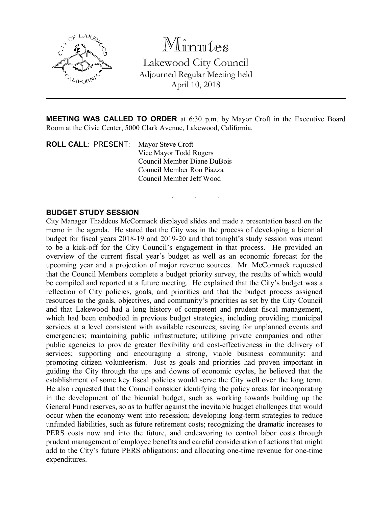

Minutes Lakewood City Council Adjourned Regular Meeting held April 10, 2018

MEETING WAS CALLED TO ORDER at 6:30 p.m. by Mayor Croft in the Executive Board Room at the Civic Center, 5000 Clark Avenue, Lakewood, California.

. . .

ROLL CALL: PRESENT: Mayor Steve Croft Vice Mayor Todd Rogers Council Member Diane DuBois Council Member Ron Piazza Council Member Jeff Wood

## BUDGET STUDY SESSION

City Manager Thaddeus McCormack displayed slides and made a presentation based on the memo in the agenda. He stated that the City was in the process of developing a biennial budget for fiscal years 2018-19 and 2019-20 and that tonight's study session was meant to be a kick-off for the City Council's engagement in that process. He provided an overview of the current fiscal year's budget as well as an economic forecast for the upcoming year and a projection of major revenue sources. Mr. McCormack requested that the Council Members complete a budget priority survey, the results of which would be compiled and reported at a future meeting. He explained that the City's budget was a reflection of City policies, goals, and priorities and that the budget process assigned resources to the goals, objectives, and community's priorities as set by the City Council and that Lakewood had a long history of competent and prudent fiscal management, which had been embodied in previous budget strategies, including providing municipal services at a level consistent with available resources; saving for unplanned events and emergencies; maintaining public infrastructure; utilizing private companies and other public agencies to provide greater flexibility and cost-effectiveness in the delivery of services; supporting and encouraging a strong, viable business community; and promoting citizen volunteerism. Just as goals and priorities had proven important in guiding the City through the ups and downs of economic cycles, he believed that the establishment of some key fiscal policies would serve the City well over the long term. He also requested that the Council consider identifying the policy areas for incorporating in the development of the biennial budget, such as working towards building up the General Fund reserves, so as to buffer against the inevitable budget challenges that would occur when the economy went into recession; developing long-term strategies to reduce unfunded liabilities, such as future retirement costs; recognizing the dramatic increases to PERS costs now and into the future, and endeavoring to control labor costs through prudent management of employee benefits and careful consideration of actions that might add to the City's future PERS obligations; and allocating one-time revenue for one-time expenditures.